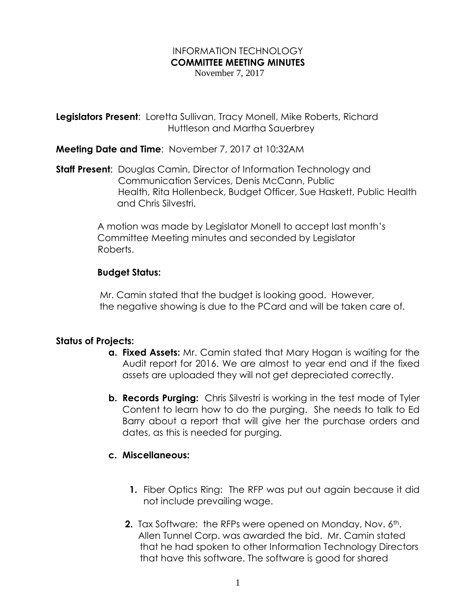## INFORMATION TECHNOLOGY **COMMITTEE MEETING MINUTES**

November 7, 2017

**Legislators Present**: Loretta Sullivan, Tracy Monell, Mike Roberts, Richard Huttleson and Martha Sauerbrey

**Meeting Date and Time**: November 7, 2017 at 10:32AM

**Staff Present**: Douglas Camin, Director of Information Technology and Communication Services, Denis McCann, Public Health, Rita Hollenbeck, Budget Officer, Sue Haskett, Public Health and Chris Silvestri.

> A motion was made by Legislator Monell to accept last month's Committee Meeting minutes and seconded by Legislator Roberts.

## **Budget Status:**

 Mr. Camin stated that the budget is looking good. However, the negative showing is due to the PCard and will be taken care of.

## **Status of Projects:**

- **a. Fixed Assets:** Mr. Camin stated that Mary Hogan is waiting for the Audit report for 2016. We are almost to year end and if the fixed assets are uploaded they will not get depreciated correctly.
- **b. Records Purging:** Chris Silvestri is working in the test mode of Tyler Content to learn how to do the purging. She needs to talk to Ed Barry about a report that will give her the purchase orders and dates, as this is needed for purging.

## **c. Miscellaneous:**

- **1.** Fiber Optics Ring: The RFP was put out again because it did not include prevailing wage.
- **2.** Tax Software: the RFPs were opened on Monday, Nov. 6<sup>th</sup>. Allen Tunnel Corp. was awarded the bid. Mr. Camin stated that he had spoken to other Information Technology Directors that have this software. The software is good for shared